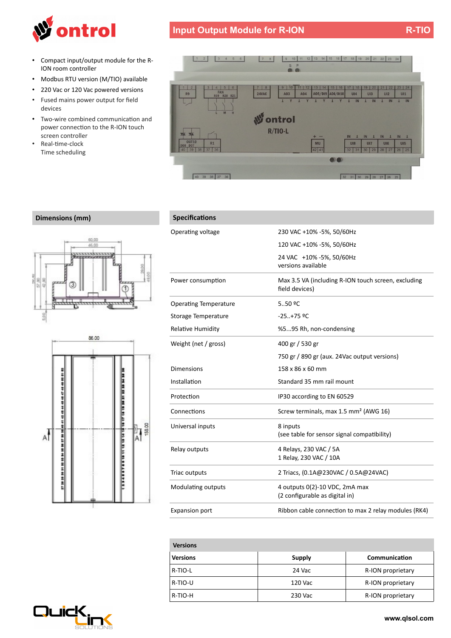

- Compact input/output module for the R-ION room controller
- Modbus RTU version (M/TIO) available
- 220 Vac or 120 Vac powered versions
- Fused mains power output for feld devices
- Two-wire combined communication and power connection to the R-ION touch screen controller
- Real-time-clock Time scheduling





## **Dimensions (mm) Specifications**





| Operating voltage            | 230 VAC +10% -5%, 50/60Hz                                             |
|------------------------------|-----------------------------------------------------------------------|
|                              | 120 VAC +10% -5%, 50/60Hz                                             |
|                              | 24 VAC +10% -5%, 50/60Hz<br>versions available                        |
| Power consumption            | Max 3.5 VA (including R-ION touch screen, excluding<br>field devices) |
| <b>Operating Temperature</b> | 5.50 °C                                                               |
| Storage Temperature          | $-25+75$ °C                                                           |
| <b>Relative Humidity</b>     | %595 Rh, non-condensing                                               |
| Weight (net / gross)         | 400 gr / 530 gr                                                       |
|                              | 750 gr / 890 gr (aux. 24Vac output versions)                          |
| Dimensions                   | 158 x 86 x 60 mm                                                      |
| Installation                 | Standard 35 mm rail mount                                             |
| Protection                   | IP30 according to EN 60529                                            |
| Connections                  | Screw terminals, max 1.5 mm <sup>2</sup> (AWG 16)                     |
| Universal inputs             | 8 inputs<br>(see table for sensor signal compatibility)               |
| Relay outputs                | 4 Relays, 230 VAC / 5A<br>1 Relay, 230 VAC / 10A                      |
| Triac outputs                | 2 Triacs, (0.1A@230VAC / 0.5A@24VAC)                                  |
| Modulating outputs           | 4 outputs 0(2)-10 VDC, 2mA max<br>(2 configurable as digital in)      |
| <b>Expansion port</b>        | Ribbon cable connection to max 2 relay modules (RK4)                  |

| <b>Versions</b> |         |                   |
|-----------------|---------|-------------------|
| <b>Versions</b> | Supply  | Communication     |
| R-TIO-L         | 24 Vac  | R-ION proprietary |
| R-TIO-U         | 120 Vac | R-ION proprietary |
| R-TIO-H         | 230 Vac | R-ION proprietary |